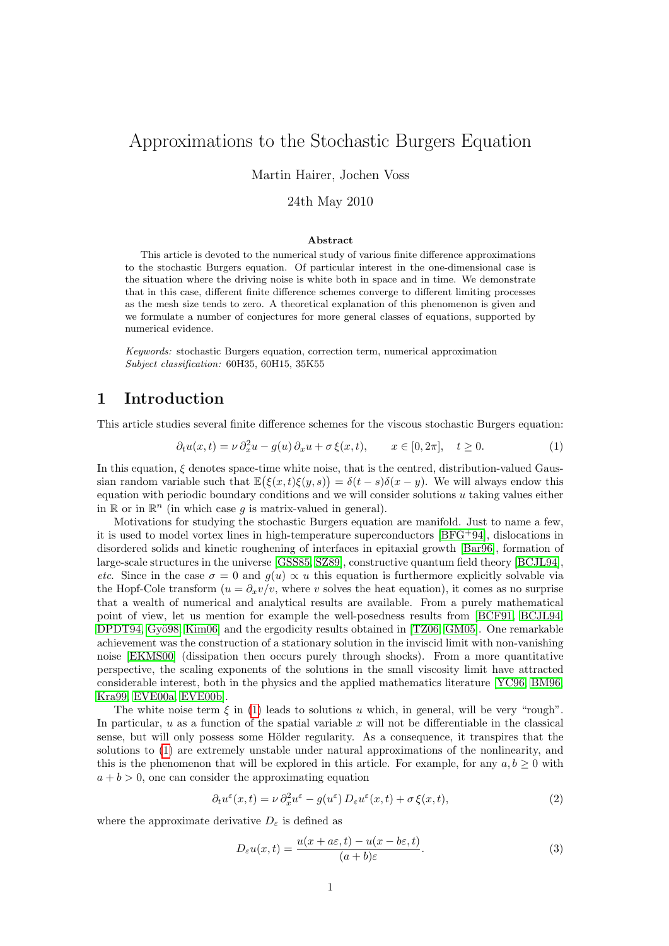# Approximations to the Stochastic Burgers Equation

Martin Hairer, Jochen Voss

### 24th May 2010

#### <span id="page-0-0"></span>Abstract

This article is devoted to the numerical study of various finite difference approximations to the stochastic Burgers equation. Of particular interest in the one-dimensional case is the situation where the driving noise is white both in space and in time. We demonstrate that in this case, different finite difference schemes converge to different limiting processes as the mesh size tends to zero. A theoretical explanation of this phenomenon is given and we formulate a number of conjectures for more general classes of equations, supported by numerical evidence.

Keywords: stochastic Burgers equation, correction term, numerical approximation Subject classification: 60H35, 60H15, 35K55

## 1 Introduction

This article studies several finite difference schemes for the viscous stochastic Burgers equation:

$$
\partial_t u(x,t) = \nu \partial_x^2 u - g(u) \partial_x u + \sigma \xi(x,t), \qquad x \in [0, 2\pi], \quad t \ge 0.
$$
 (1)

In this equation,  $\xi$  denotes space-time white noise, that is the centred, distribution-valued Gaussian random variable such that  $\mathbb{E}(\xi(x,t)\xi(y,s)) = \delta(t-s)\delta(x-y)$ . We will always endow this equation with periodic boundary conditions and we will consider solutions  $u$  taking values either in  $\mathbb{R}$  or in  $\mathbb{R}^n$  (in which case g is matrix-valued in general).

Motivations for studying the stochastic Burgers equation are manifold. Just to name a few, it is used to model vortex lines in high-temperature superconductors [\[BFG](#page-17-0)+94], dislocations in disordered solids and kinetic roughening of interfaces in epitaxial growth [\[Bar96\]](#page-16-0), formation of large-scale structures in the universe [\[GSS85,](#page-17-1) [SZ89\]](#page-18-0), constructive quantum field theory [\[BCJL94\]](#page-16-1), etc. Since in the case  $\sigma = 0$  and  $g(u) \propto u$  this equation is furthermore explicitly solvable via the Hopf-Cole transform  $(u = \partial_x v/v)$ , where v solves the heat equation), it comes as no surprise that a wealth of numerical and analytical results are available. From a purely mathematical point of view, let us mention for example the well-posedness results from [\[BCF91,](#page-16-2) [BCJL94,](#page-16-1) [DPDT94,](#page-17-2) Gyö98, Kim06 and the ergodicity results obtained in [\[TZ06,](#page-18-2) [GM05\]](#page-17-4). One remarkable achievement was the construction of a stationary solution in the inviscid limit with non-vanishing noise [\[EKMS00\]](#page-17-5) (dissipation then occurs purely through shocks). From a more quantitative perspective, the scaling exponents of the solutions in the small viscosity limit have attracted considerable interest, both in the physics and the applied mathematics literature [\[YC96,](#page-18-3) [BM96,](#page-17-6) [Kra99,](#page-18-4) [EVE00a,](#page-17-7) [EVE00b\]](#page-17-8).

The white noise term  $\xi$  in [\(1\)](#page-0-0) leads to solutions u which, in general, will be very "rough". In particular,  $u$  as a function of the spatial variable  $x$  will not be differentiable in the classical sense, but will only possess some Hölder regularity. As a consequence, it transpires that the solutions to [\(1\)](#page-0-0) are extremely unstable under natural approximations of the nonlinearity, and this is the phenomenon that will be explored in this article. For example, for any  $a, b \ge 0$  with  $a + b > 0$ , one can consider the approximating equation

$$
\partial_t u^{\varepsilon}(x,t) = \nu \, \partial_x^2 u^{\varepsilon} - g(u^{\varepsilon}) \, D_{\varepsilon} u^{\varepsilon}(x,t) + \sigma \, \xi(x,t), \tag{2}
$$

where the approximate derivative  $D_\varepsilon$  is defined as

<span id="page-0-2"></span><span id="page-0-1"></span>
$$
D_{\varepsilon}u(x,t) = \frac{u(x + a\varepsilon, t) - u(x - b\varepsilon, t)}{(a + b)\varepsilon}.
$$
\n(3)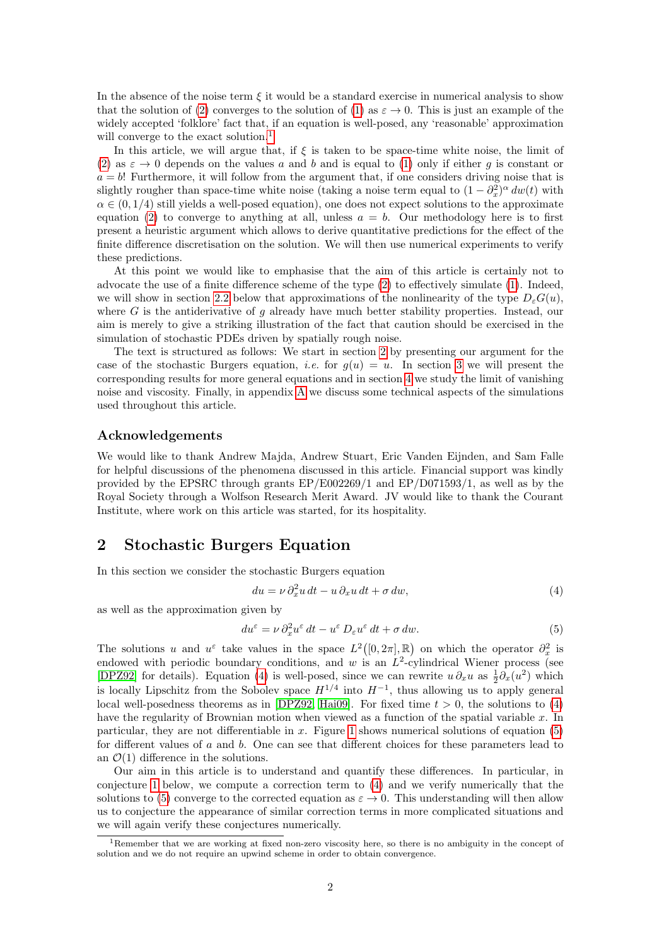In the absence of the noise term  $\xi$  it would be a standard exercise in numerical analysis to show that the solution of [\(2\)](#page-0-1) converges to the solution of [\(1\)](#page-0-0) as  $\varepsilon \to 0$ . This is just an example of the widely accepted 'folklore' fact that, if an equation is well-posed, any 'reasonable' approximation will converge to the exact solution.<sup>[1](#page-1-0)</sup>

In this article, we will argue that, if  $\xi$  is taken to be space-time white noise, the limit of [\(2\)](#page-0-1) as  $\varepsilon \to 0$  depends on the values a and b and is equal to [\(1\)](#page-0-0) only if either g is constant or  $a = b$ ! Furthermore, it will follow from the argument that, if one considers driving noise that is slightly rougher than space-time white noise (taking a noise term equal to  $(1 - \partial_x^2)^\alpha dw(t)$  with  $\alpha \in (0, 1/4)$  still yields a well-posed equation), one does not expect solutions to the approximate equation [\(2\)](#page-0-1) to converge to anything at all, unless  $a = b$ . Our methodology here is to first present a heuristic argument which allows to derive quantitative predictions for the effect of the finite difference discretisation on the solution. We will then use numerical experiments to verify these predictions.

At this point we would like to emphasise that the aim of this article is certainly not to advocate the use of a finite difference scheme of the type [\(2\)](#page-0-1) to effectively simulate [\(1\)](#page-0-0). Indeed, we will show in section [2.2](#page-5-0) below that approximations of the nonlinearity of the type  $D_{\varepsilon}G(u)$ , where G is the antiderivative of  $g$  already have much better stability properties. Instead, our aim is merely to give a striking illustration of the fact that caution should be exercised in the simulation of stochastic PDEs driven by spatially rough noise.

The text is structured as follows: We start in section [2](#page-1-1) by presenting our argument for the case of the stochastic Burgers equation, *i.e.* for  $q(u) = u$ . In section [3](#page-8-0) we will present the corresponding results for more general equations and in section [4](#page-12-0) we study the limit of vanishing noise and viscosity. Finally, in appendix [A](#page-15-0) we discuss some technical aspects of the simulations used throughout this article.

#### Acknowledgements

We would like to thank Andrew Majda, Andrew Stuart, Eric Vanden Eijnden, and Sam Falle for helpful discussions of the phenomena discussed in this article. Financial support was kindly provided by the EPSRC through grants EP/E002269/1 and EP/D071593/1, as well as by the Royal Society through a Wolfson Research Merit Award. JV would like to thank the Courant Institute, where work on this article was started, for its hospitality.

## <span id="page-1-1"></span>2 Stochastic Burgers Equation

In this section we consider the stochastic Burgers equation

<span id="page-1-3"></span><span id="page-1-2"></span>
$$
du = \nu \partial_x^2 u \, dt - u \, \partial_x u \, dt + \sigma \, dw,\tag{4}
$$

as well as the approximation given by

$$
du^{\varepsilon} = \nu \, \partial_x^2 u^{\varepsilon} \, dt - u^{\varepsilon} \, D_{\varepsilon} u^{\varepsilon} \, dt + \sigma \, dw. \tag{5}
$$

The solutions u and  $u^{\varepsilon}$  take values in the space  $L^2([0, 2\pi], \mathbb{R})$  on which the operator  $\partial_x^2$  is endowed with periodic boundary conditions, and w is an  $L^2$ -cylindrical Wiener process (see [\[DPZ92\]](#page-17-9) for details). Equation [\(4\)](#page-1-2) is well-posed, since we can rewrite  $u \partial_x u$  as  $\frac{1}{2} \partial_x (u^2)$  which is locally Lipschitz from the Sobolev space  $H^{1/4}$  into  $H^{-1}$ , thus allowing us to apply general local well-posedness theorems as in [\[DPZ92,](#page-17-9) [Hai09\]](#page-17-10). For fixed time  $t > 0$ , the solutions to [\(4\)](#page-1-2) have the regularity of Brownian motion when viewed as a function of the spatial variable  $x$ . In particular, they are not differentiable in  $x$ . Figure [1](#page-2-0) shows numerical solutions of equation  $(5)$ for different values of a and b. One can see that different choices for these parameters lead to an  $\mathcal{O}(1)$  difference in the solutions.

Our aim in this article is to understand and quantify these differences. In particular, in conjecture [1](#page-3-0) below, we compute a correction term to [\(4\)](#page-1-2) and we verify numerically that the solutions to [\(5\)](#page-1-3) converge to the corrected equation as  $\varepsilon \to 0$ . This understanding will then allow us to conjecture the appearance of similar correction terms in more complicated situations and we will again verify these conjectures numerically.

<span id="page-1-0"></span><sup>&</sup>lt;sup>1</sup>Remember that we are working at fixed non-zero viscosity here, so there is no ambiguity in the concept of solution and we do not require an upwind scheme in order to obtain convergence.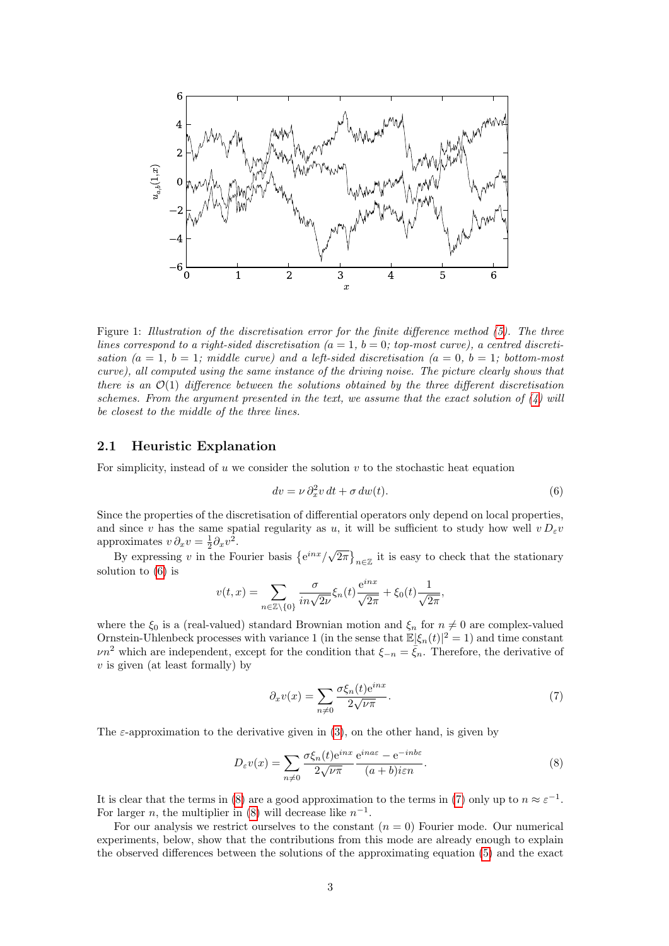

<span id="page-2-0"></span>Figure 1: Illustration of the discretisation error for the finite difference method [\(5\)](#page-1-3). The three lines correspond to a right-sided discretisation  $(a = 1, b = 0; top-most curve)$ , a centred discretisation  $(a = 1, b = 1;$  middle curve) and a left-sided discretisation  $(a = 0, b = 1;$  bottom-most curve), all computed using the same instance of the driving noise. The picture clearly shows that there is an  $\mathcal{O}(1)$  difference between the solutions obtained by the three different discretisation schemes. From the argument presented in the text, we assume that the exact solution of  $(4)$  will be closest to the middle of the three lines.

#### 2.1 Heuristic Explanation

For simplicity, instead of  $u$  we consider the solution  $v$  to the stochastic heat equation

<span id="page-2-1"></span>
$$
dv = \nu \partial_x^2 v \, dt + \sigma \, dw(t). \tag{6}
$$

Since the properties of the discretisation of differential operators only depend on local properties, and since v has the same spatial regularity as u, it will be sufficient to study how well  $v D_{\varepsilon} v$ approximates  $v \partial_x v = \frac{1}{2} \partial_x v^2$ .

Foximates  $v v_x v = \frac{1}{2} v_x v$ .<br>By expressing v in the Fourier basis  $\{e^{inx}/\sqrt{\pi}\}$  $\overline{2\pi}\big\}_{n\in\mathbb{Z}}$  it is easy to check that the stationary solution to [\(6\)](#page-2-1) is

$$
v(t,x) = \sum_{n \in \mathbb{Z}\backslash\{0\}} \frac{\sigma}{in\sqrt{2\nu}} \xi_n(t) \frac{e^{inx}}{\sqrt{2\pi}} + \xi_0(t) \frac{1}{\sqrt{2\pi}},
$$

where the  $\xi_0$  is a (real-valued) standard Brownian motion and  $\xi_n$  for  $n \neq 0$  are complex-valued Ornstein-Uhlenbeck processes with variance 1 (in the sense that  $\mathbb{E}|\xi_n(t)|^2 = 1$ ) and time constant  $\nu n^2$  which are independent, except for the condition that  $\xi_{-n} = \xi_n$ . Therefore, the derivative of  $v$  is given (at least formally) by

<span id="page-2-3"></span><span id="page-2-2"></span>
$$
\partial_x v(x) = \sum_{n \neq 0} \frac{\sigma \xi_n(t) e^{inx}}{2\sqrt{\nu \pi}}.
$$
\n(7)

The  $\varepsilon$ -approximation to the derivative given in [\(3\)](#page-0-2), on the other hand, is given by

$$
D_{\varepsilon}v(x) = \sum_{n \neq 0} \frac{\sigma \xi_n(t) e^{inx}}{2\sqrt{\nu \pi}} \frac{e^{ina\varepsilon} - e^{-inb\varepsilon}}{(a+b)i\varepsilon n}.
$$
 (8)

It is clear that the terms in [\(8\)](#page-2-2) are a good approximation to the terms in [\(7\)](#page-2-3) only up to  $n \approx \varepsilon^{-1}$ . For larger *n*, the multiplier in [\(8\)](#page-2-2) will decrease like  $n^{-1}$ .

For our analysis we restrict ourselves to the constant  $(n = 0)$  Fourier mode. Our numerical experiments, below, show that the contributions from this mode are already enough to explain the observed differences between the solutions of the approximating equation [\(5\)](#page-1-3) and the exact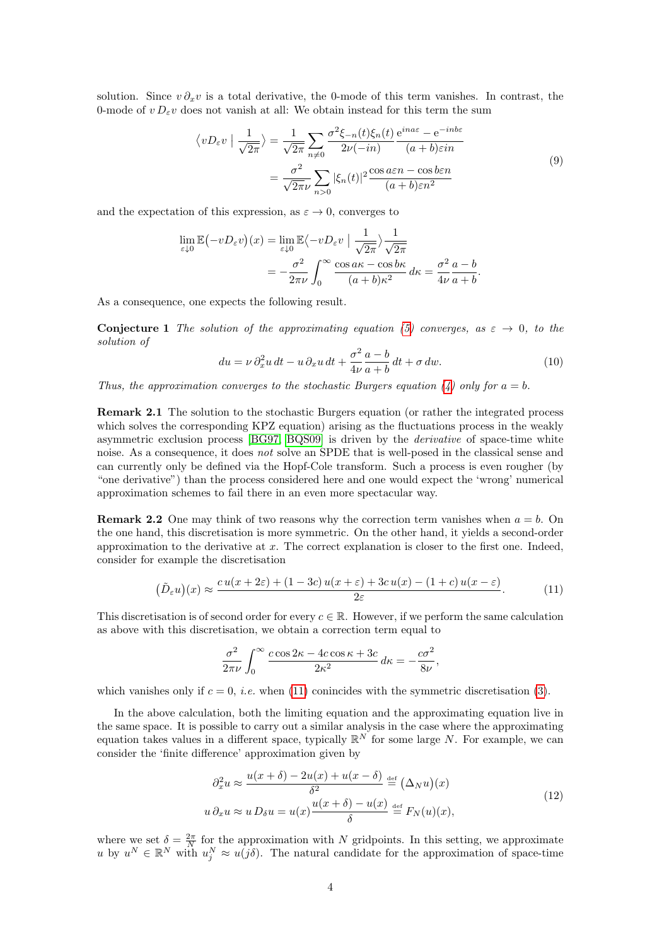solution. Since  $v \partial_x v$  is a total derivative, the 0-mode of this term vanishes. In contrast, the 0-mode of  $v D_{\varepsilon} v$  does not vanish at all: We obtain instead for this term the sum

<span id="page-3-4"></span>
$$
\langle vD_{\varepsilon}v \mid \frac{1}{\sqrt{2\pi}} \rangle = \frac{1}{\sqrt{2\pi}} \sum_{n\neq 0} \frac{\sigma^2 \xi_{-n}(t)\xi_n(t)}{2\nu(-in)} \frac{e^{ina\varepsilon} - e^{-inb\varepsilon}}{(a+b)\varepsilon in}
$$

$$
= \frac{\sigma^2}{\sqrt{2\pi}\nu} \sum_{n>0} |\xi_n(t)|^2 \frac{\cos a\varepsilon n - \cos b\varepsilon n}{(a+b)\varepsilon n^2}
$$
(9)

and the expectation of this expression, as  $\varepsilon \to 0$ , converges to

$$
\lim_{\varepsilon \downarrow 0} \mathbb{E} \left( -v D_{\varepsilon} v \right) (x) = \lim_{\varepsilon \downarrow 0} \mathbb{E} \left\langle -v D_{\varepsilon} v \mid \frac{1}{\sqrt{2\pi}} \right\rangle \frac{1}{\sqrt{2\pi}}
$$
\n
$$
= -\frac{\sigma^2}{2\pi \nu} \int_0^\infty \frac{\cos a\kappa - \cos b\kappa}{(a+b)\kappa^2} \, d\kappa = \frac{\sigma^2}{4\nu} \frac{a-b}{a+b}.
$$

<span id="page-3-0"></span>As a consequence, one expects the following result.

**Conjecture 1** The solution of the approximating equation [\(5\)](#page-1-3) converges, as  $\varepsilon \to 0$ , to the solution of

<span id="page-3-3"></span>
$$
du = \nu \partial_x^2 u \, dt - u \, \partial_x u \, dt + \frac{\sigma^2}{4\nu} \frac{a - b}{a + b} \, dt + \sigma \, dw. \tag{10}
$$

Thus, the approximation converges to the stochastic Burgers equation [\(4\)](#page-1-2) only for  $a = b$ .

Remark 2.1 The solution to the stochastic Burgers equation (or rather the integrated process which solves the corresponding KPZ equation) arising as the fluctuations process in the weakly asymmetric exclusion process [\[BG97,](#page-17-11) [BQS09\]](#page-17-12) is driven by the derivative of space-time white noise. As a consequence, it does *not* solve an SPDE that is well-posed in the classical sense and can currently only be defined via the Hopf-Cole transform. Such a process is even rougher (by "one derivative") than the process considered here and one would expect the 'wrong' numerical approximation schemes to fail there in an even more spectacular way.

**Remark 2.2** One may think of two reasons why the correction term vanishes when  $a = b$ . On the one hand, this discretisation is more symmetric. On the other hand, it yields a second-order approximation to the derivative at  $x$ . The correct explanation is closer to the first one. Indeed, consider for example the discretisation

$$
(\tilde{D}_{\varepsilon}u)(x) \approx \frac{cu(x+2\varepsilon) + (1-3c)u(x+\varepsilon) + 3cu(x) - (1+c)u(x-\varepsilon)}{2\varepsilon}.
$$
 (11)

This discretisation is of second order for every  $c \in \mathbb{R}$ . However, if we perform the same calculation as above with this discretisation, we obtain a correction term equal to

<span id="page-3-1"></span>
$$
\frac{\sigma^2}{2\pi\nu} \int_0^\infty \frac{c\cos 2\kappa - 4c\cos \kappa + 3c}{2\kappa^2} d\kappa = -\frac{c\sigma^2}{8\nu},
$$

which vanishes only if  $c = 0$ , *i.e.* when [\(11\)](#page-3-1) conincides with the symmetric discretisation [\(3\)](#page-0-2).

In the above calculation, both the limiting equation and the approximating equation live in the same space. It is possible to carry out a similar analysis in the case where the approximating equation takes values in a different space, typically  $\mathbb{R}^N$  for some large N. For example, we can consider the 'finite difference' approximation given by

<span id="page-3-2"></span>
$$
\partial_x^2 u \approx \frac{u(x+\delta) - 2u(x) + u(x-\delta)}{\delta^2} \stackrel{\text{def}}{=} (\Delta_N u)(x)
$$
  

$$
u \partial_x u \approx u D_\delta u = u(x) \frac{u(x+\delta) - u(x)}{\delta} \stackrel{\text{def}}{=} F_N(u)(x),
$$
 (12)

where we set  $\delta = \frac{2\pi}{N}$  for the approximation with N gridpoints. In this setting, we approximate u by  $u^N \in \mathbb{R}^N$  with  $u_j^N \approx u(j\delta)$ . The natural candidate for the approximation of space-time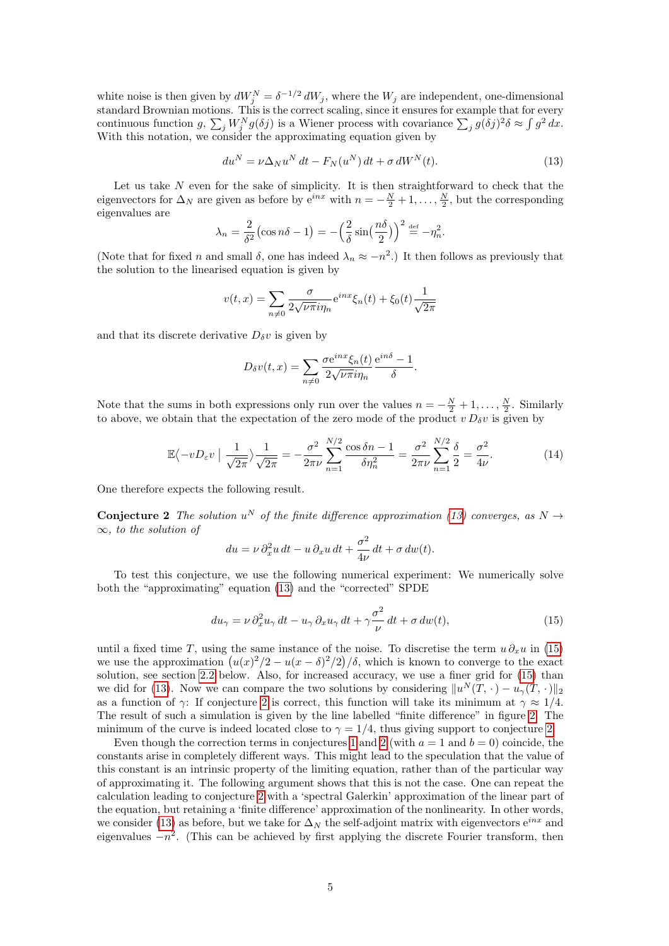white noise is then given by  $dW_j^N = \delta^{-1/2} dW_j$ , where the  $W_j$  are independent, one-dimensional standard Brownian motions. This is the correct scaling, since it ensures for example that for every continuous function  $g, \sum_j W_j^N g(\delta j)$  is a Wiener process with covariance  $\sum_j g(\delta j)^2 \delta \approx \int g^2 dx$ . With this notation, we consider the approximating equation given by

<span id="page-4-0"></span>
$$
du^N = \nu \Delta_N u^N dt - F_N(u^N) dt + \sigma dW^N(t). \tag{13}
$$

Let us take  $N$  even for the sake of simplicity. It is then straightforward to check that the eigenvectors for  $\Delta_N$  are given as before by  $e^{inx}$  with  $n = -\frac{N}{2} + 1, \ldots, \frac{N}{2}$ , but the corresponding eigenvalues are

$$
\lambda_n = \frac{2}{\delta^2} \left( \cos n\delta - 1 \right) = -\left( \frac{2}{\delta} \sin \left( \frac{n\delta}{2} \right) \right)^2 \stackrel{\text{def}}{=} -\eta_n^2.
$$

(Note that for fixed *n* and small  $\delta$ , one has indeed  $\lambda_n \approx -n^2$ .) It then follows as previously that the solution to the linearised equation is given by

$$
v(t,x) = \sum_{n \neq 0} \frac{\sigma}{2\sqrt{\nu \pi} i \eta_n} e^{inx} \xi_n(t) + \xi_0(t) \frac{1}{\sqrt{2\pi}}
$$

and that its discrete derivative  $D_{\delta}v$  is given by

<span id="page-4-3"></span>
$$
D_{\delta}v(t,x) = \sum_{n \neq 0} \frac{\sigma e^{inx} \xi_n(t)}{2\sqrt{\nu \pi} i \eta_n} \frac{e^{in\delta} - 1}{\delta}.
$$

Note that the sums in both expressions only run over the values  $n = -\frac{N}{2} + 1, \ldots, \frac{N}{2}$ . Similarly to above, we obtain that the expectation of the zero mode of the product  $v D_{\delta} v$  is given by

$$
\mathbb{E}\langle -vD_{\varepsilon}v \mid \frac{1}{\sqrt{2\pi}}\rangle \frac{1}{\sqrt{2\pi}} = -\frac{\sigma^2}{2\pi\nu} \sum_{n=1}^{N/2} \frac{\cos\delta n - 1}{\delta\eta_n^2} = \frac{\sigma^2}{2\pi\nu} \sum_{n=1}^{N/2} \frac{\delta}{2} = \frac{\sigma^2}{4\nu}.
$$
 (14)

<span id="page-4-2"></span>One therefore expects the following result.

**Conjecture 2** The solution  $u^N$  of the finite difference approximation [\(13\)](#page-4-0) converges, as  $N \rightarrow$  $\infty$ , to the solution of

<span id="page-4-1"></span>
$$
du = \nu \partial_x^2 u \, dt - u \, \partial_x u \, dt + \frac{\sigma^2}{4\nu} \, dt + \sigma \, dw(t).
$$

To test this conjecture, we use the following numerical experiment: We numerically solve both the "approximating" equation [\(13\)](#page-4-0) and the "corrected" SPDE

$$
du_{\gamma} = \nu \partial_x^2 u_{\gamma} dt - u_{\gamma} \partial_x u_{\gamma} dt + \gamma \frac{\sigma^2}{\nu} dt + \sigma dw(t), \qquad (15)
$$

until a fixed time T, using the same instance of the noise. To discretise the term  $u \partial_x u$  in [\(15\)](#page-4-1) we use the approximation  $(u(x)^2/2 - u(x - \delta)^2/2)/\delta$ , which is known to converge to the exact solution, see section [2.2](#page-5-0) below. Also, for increased accuracy, we use a finer grid for [\(15\)](#page-4-1) than we did for [\(13\)](#page-4-0). Now we can compare the two solutions by considering  $||u^N(T, \cdot) - u_\gamma(T, \cdot)||_2$ as a function of  $\gamma$ : If conjecture [2](#page-4-2) is correct, this function will take its minimum at  $\gamma \approx 1/4$ . The result of such a simulation is given by the line labelled "finite difference" in figure [2.](#page-5-1) The minimum of the curve is indeed located close to  $\gamma = 1/4$ , thus giving support to conjecture [2.](#page-4-2)

Even though the correction terms in conjectures [1](#page-3-0) and [2](#page-4-2) (with  $a = 1$  and  $b = 0$ ) coincide, the constants arise in completely different ways. This might lead to the speculation that the value of this constant is an intrinsic property of the limiting equation, rather than of the particular way of approximating it. The following argument shows that this is not the case. One can repeat the calculation leading to conjecture [2](#page-4-2) with a 'spectral Galerkin' approximation of the linear part of the equation, but retaining a 'finite difference' approximation of the nonlinearity. In other words, we consider [\(13\)](#page-4-0) as before, but we take for  $\Delta_N$  the self-adjoint matrix with eigenvectors  $e^{inx}$  and eigenvalues  $-n^2$ . (This can be achieved by first applying the discrete Fourier transform, then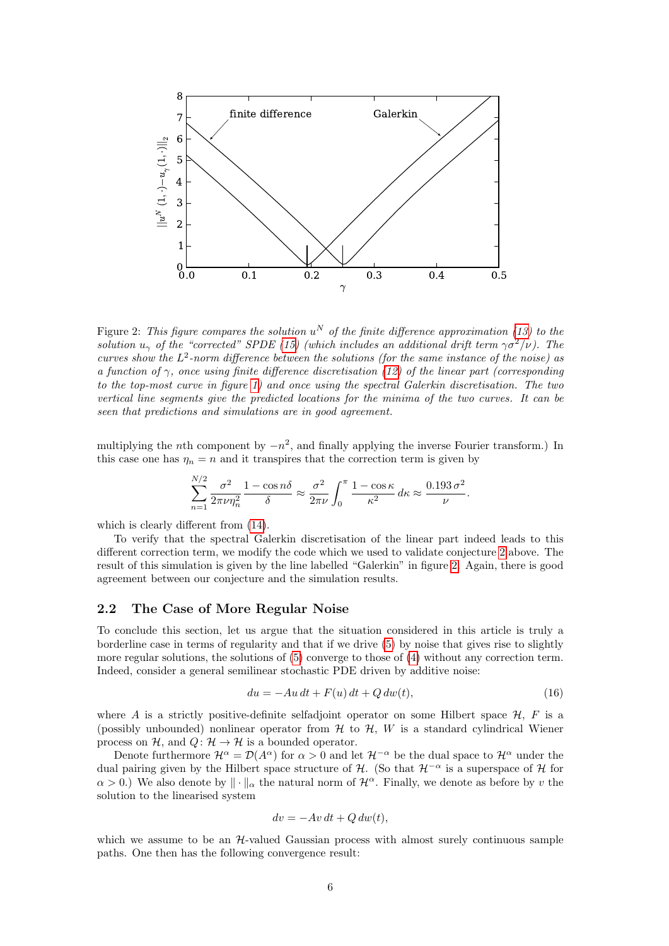

<span id="page-5-1"></span>Figure 2: This figure compares the solution  $u^N$  of the finite difference approximation [\(13\)](#page-4-0) to the solution  $u_{\gamma}$  of the "corrected" SPDE [\(15\)](#page-4-1) (which includes an additional drift term  $\gamma \sigma^2/\nu$ ). The curves show the  $L^2$ -norm difference between the solutions (for the same instance of the noise) as a function of  $\gamma$ , once using finite difference discretisation [\(12\)](#page-3-2) of the linear part (corresponding to the top-most curve in figure [1\)](#page-2-0) and once using the spectral Galerkin discretisation. The two vertical line segments give the predicted locations for the minima of the two curves. It can be seen that predictions and simulations are in good agreement.

multiplying the *n*th component by  $-n^2$ , and finally applying the inverse Fourier transform.) In this case one has  $\eta_n = n$  and it transpires that the correction term is given by

$$
\sum_{n=1}^{N/2} \frac{\sigma^2}{2\pi \nu \eta_n^2} \frac{1 - \cos n\delta}{\delta} \approx \frac{\sigma^2}{2\pi \nu} \int_0^\pi \frac{1 - \cos \kappa}{\kappa^2} d\kappa \approx \frac{0.193 \sigma^2}{\nu}.
$$

which is clearly different from [\(14\)](#page-4-3).

To verify that the spectral Galerkin discretisation of the linear part indeed leads to this different correction term, we modify the code which we used to validate conjecture [2](#page-4-2) above. The result of this simulation is given by the line labelled "Galerkin" in figure [2.](#page-5-1) Again, there is good agreement between our conjecture and the simulation results.

#### <span id="page-5-0"></span>2.2 The Case of More Regular Noise

To conclude this section, let us argue that the situation considered in this article is truly a borderline case in terms of regularity and that if we drive [\(5\)](#page-1-3) by noise that gives rise to slightly more regular solutions, the solutions of [\(5\)](#page-1-3) converge to those of [\(4\)](#page-1-2) without any correction term. Indeed, consider a general semilinear stochastic PDE driven by additive noise:

<span id="page-5-2"></span>
$$
du = -Au\,dt + F(u)\,dt + Q\,dw(t),\tag{16}
$$

where A is a strictly positive-definite selfadjoint operator on some Hilbert space  $\mathcal{H}, F$  is a (possibly unbounded) nonlinear operator from  $H$  to  $H$ , W is a standard cylindrical Wiener process on H, and  $Q: \mathcal{H} \to \mathcal{H}$  is a bounded operator.

Denote furthermore  $\mathcal{H}^{\alpha} = \mathcal{D}(A^{\alpha})$  for  $\alpha > 0$  and let  $\mathcal{H}^{-\alpha}$  be the dual space to  $\mathcal{H}^{\alpha}$  under the dual pairing given by the Hilbert space structure of  $\mathcal{H}$ . (So that  $\mathcal{H}^{-\alpha}$  is a superspace of  $\mathcal{H}$  for  $\alpha > 0$ .) We also denote by  $\|\cdot\|_{\alpha}$  the natural norm of  $\mathcal{H}^{\alpha}$ . Finally, we denote as before by v the solution to the linearised system

$$
dv = -Av\,dt + Q\,dw(t),
$$

<span id="page-5-3"></span>which we assume to be an  $H$ -valued Gaussian process with almost surely continuous sample paths. One then has the following convergence result: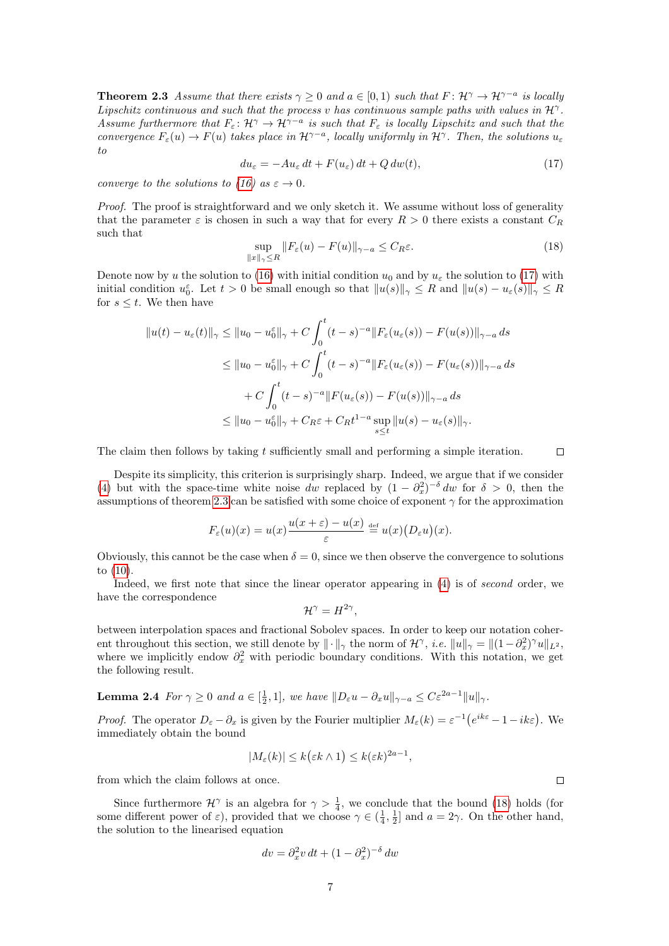**Theorem 2.3** Assume that there exists  $\gamma \geq 0$  and  $a \in [0,1)$  such that  $F: \mathcal{H}^{\gamma} \to \mathcal{H}^{\gamma-a}$  is locally Lipschitz continuous and such that the process v has continuous sample paths with values in  $\mathcal{H}^{\gamma}$ . Assume furthermore that  $F_{\varepsilon}: \mathcal{H}^{\gamma} \to \mathcal{H}^{\gamma-a}$  is such that  $F_{\varepsilon}$  is locally Lipschitz and such that the convergence  $F_{\varepsilon}(u) \to F(u)$  takes place in  $\mathcal{H}^{\gamma-a}$ , locally uniformly in  $\mathcal{H}^{\gamma}$ . Then, the solutions  $u_{\varepsilon}$ to

$$
du_{\varepsilon} = -Au_{\varepsilon} dt + F(u_{\varepsilon}) dt + Q dw(t), \qquad (17)
$$

converge to the solutions to [\(16\)](#page-5-2) as  $\varepsilon \to 0$ .

Proof. The proof is straightforward and we only sketch it. We assume without loss of generality that the parameter  $\varepsilon$  is chosen in such a way that for every  $R > 0$  there exists a constant  $C_R$ such that

$$
\sup_{\|x\|_{\gamma}\leq R} \|F_{\varepsilon}(u) - F(u)\|_{\gamma-a} \leq C_R \varepsilon.
$$
\n(18)

Denote now by u the solution to [\(16\)](#page-5-2) with initial condition  $u_0$  and by  $u_\varepsilon$  the solution to [\(17\)](#page-6-0) with initial condition  $u_0^{\varepsilon}$ . Let  $t > 0$  be small enough so that  $||u(s)||_{\gamma} \leq R$  and  $||u(s) - u_{\varepsilon}(s)||_{\gamma} \leq R$ for  $s \leq t$ . We then have

$$
||u(t) - u_{\varepsilon}(t)||_{\gamma} \le ||u_0 - u_0^{\varepsilon}||_{\gamma} + C \int_0^t (t - s)^{-a} ||F_{\varepsilon}(u_{\varepsilon}(s)) - F(u(s))||_{\gamma - a} ds
$$
  

$$
\le ||u_0 - u_0^{\varepsilon}||_{\gamma} + C \int_0^t (t - s)^{-a} ||F_{\varepsilon}(u_{\varepsilon}(s)) - F(u_{\varepsilon}(s))||_{\gamma - a} ds
$$
  

$$
+ C \int_0^t (t - s)^{-a} ||F(u_{\varepsilon}(s)) - F(u(s))||_{\gamma - a} ds
$$
  

$$
\le ||u_0 - u_0^{\varepsilon}||_{\gamma} + C_R \varepsilon + C_R t^{1-a} \sup_{s \le t} ||u(s) - u_{\varepsilon}(s)||_{\gamma}.
$$

The claim then follows by taking t sufficiently small and performing a simple iteration.

<span id="page-6-1"></span><span id="page-6-0"></span> $\Box$ 

Despite its simplicity, this criterion is surprisingly sharp. Indeed, we argue that if we consider [\(4\)](#page-1-2) but with the space-time white noise dw replaced by  $(1 - \partial_x^2)^{-\delta}$  dw for  $\delta > 0$ , then the assumptions of theorem [2.3](#page-5-3) can be satisfied with some choice of exponent  $\gamma$  for the approximation

$$
F_{\varepsilon}(u)(x) = u(x)\frac{u(x+\varepsilon) - u(x)}{\varepsilon} \stackrel{\text{def}}{=} u(x)\big(D_{\varepsilon}u\big)(x).
$$

Obviously, this cannot be the case when  $\delta = 0$ , since we then observe the convergence to solutions to [\(10\)](#page-3-3).

Indeed, we first note that since the linear operator appearing in [\(4\)](#page-1-2) is of second order, we have the correspondence

$$
\mathcal{H}^{\gamma} = H^{2\gamma},
$$

between interpolation spaces and fractional Sobolev spaces. In order to keep our notation coherent throughout this section, we still denote by  $\|\cdot\|_{\gamma}$  the norm of  $\mathcal{H}^{\gamma}$ , *i.e.*  $\|u\|_{\gamma} = \|(1-\partial_x^2)^{\gamma}u\|_{L^2}$ , where we implicitly endow  $\partial_x^2$  with periodic boundary conditions. With this notation, we get the following result.

<span id="page-6-2"></span>**Lemma 2.4** For  $\gamma \ge 0$  and  $a \in [\frac{1}{2}, 1]$ , we have  $||D_{\varepsilon}u - \partial_x u||_{\gamma - a} \le C\varepsilon^{2a-1}||u||_{\gamma}$ .

*Proof.* The operator  $D_{\varepsilon} - \partial_x$  is given by the Fourier multiplier  $M_{\varepsilon}(k) = \varepsilon^{-1} (e^{ik\varepsilon} - 1 - ik\varepsilon)$ . We immediately obtain the bound

$$
|M_{\varepsilon}(k)| \le k(\varepsilon k \wedge 1) \le k(\varepsilon k)^{2a-1},
$$

from which the claim follows at once.

Since furthermore  $\mathcal{H}^{\gamma}$  is an algebra for  $\gamma > \frac{1}{4}$ , we conclude that the bound [\(18\)](#page-6-1) holds (for some different power of  $\varepsilon$ ), provided that we choose  $\gamma \in (\frac{1}{4}, \frac{1}{2}]$  and  $a = 2\gamma$ . On the other hand, the solution to the linearised equation

$$
dv = \partial_x^2 v \, dt + (1 - \partial_x^2)^{-\delta} \, dw
$$

 $\Box$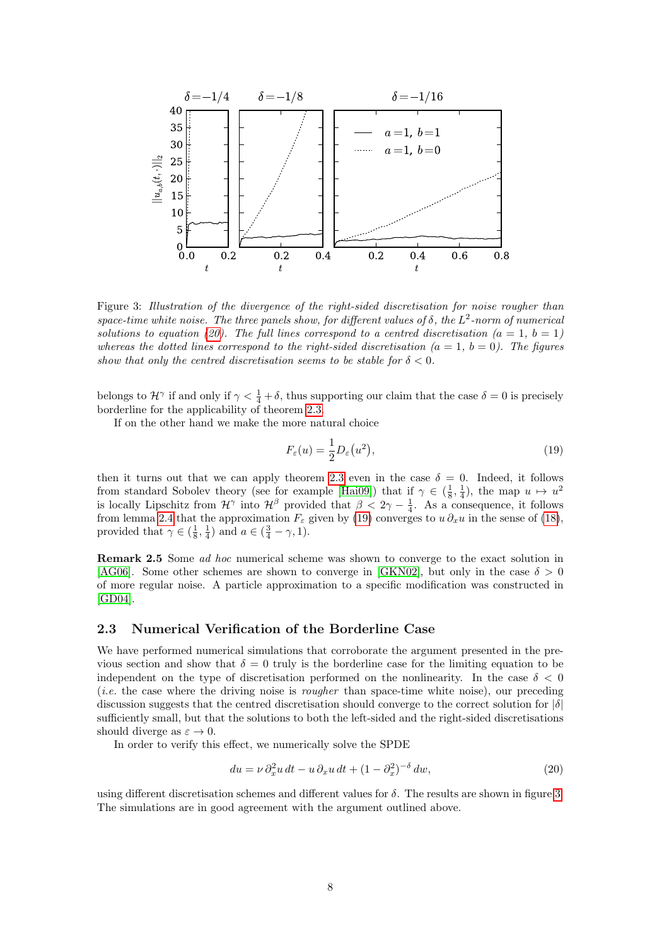

<span id="page-7-2"></span>Figure 3: Illustration of the divergence of the right-sided discretisation for noise rougher than space-time white noise. The three panels show, for different values of  $\delta$ , the  $L^2$ -norm of numerical solutions to equation [\(20\)](#page-7-0). The full lines correspond to a centred discretisation ( $a = 1, b = 1$ ) whereas the dotted lines correspond to the right-sided discretisation  $(a = 1, b = 0)$ . The figures show that only the centred discretisation seems to be stable for  $\delta < 0$ .

belongs to  $\mathcal{H}^{\gamma}$  if and only if  $\gamma < \frac{1}{4} + \delta$ , thus supporting our claim that the case  $\delta = 0$  is precisely borderline for the applicability of theorem [2.3.](#page-5-3)

If on the other hand we make the more natural choice

<span id="page-7-1"></span>
$$
F_{\varepsilon}(u) = \frac{1}{2} D_{\varepsilon}(u^2),\tag{19}
$$

then it turns out that we can apply theorem [2.3](#page-5-3) even in the case  $\delta = 0$ . Indeed, it follows from standard Sobolev theory (see for example [\[Hai09\]](#page-17-10)) that if  $\gamma \in (\frac{1}{8}, \frac{1}{4})$ , the map  $u \mapsto u^2$ is locally Lipschitz from  $\mathcal{H}^{\gamma}$  into  $\mathcal{H}^{\beta}$  provided that  $\beta < 2\gamma - \frac{1}{4}$ . As a consequence, it follows from lemma [2.4](#page-6-2) that the approximation  $F_{\varepsilon}$  given by [\(19\)](#page-7-1) converges to  $u \partial_x u$  in the sense of [\(18\)](#page-6-1), provided that  $\gamma \in (\frac{1}{8}, \frac{1}{4})$  and  $a \in (\frac{3}{4} - \gamma, 1)$ .

Remark 2.5 Some ad hoc numerical scheme was shown to converge to the exact solution in [\[AG06\]](#page-16-3). Some other schemes are shown to converge in [\[GKN02\]](#page-17-13), but only in the case  $\delta > 0$ of more regular noise. A particle approximation to a specific modification was constructed in [\[GD04\]](#page-17-14).

#### 2.3 Numerical Verification of the Borderline Case

We have performed numerical simulations that corroborate the argument presented in the previous section and show that  $\delta = 0$  truly is the borderline case for the limiting equation to be independent on the type of discretisation performed on the nonlinearity. In the case  $\delta < 0$ (i.e. the case where the driving noise is rougher than space-time white noise), our preceding discussion suggests that the centred discretisation should converge to the correct solution for  $|\delta|$ sufficiently small, but that the solutions to both the left-sided and the right-sided discretisations should diverge as  $\varepsilon \to 0$ .

In order to verify this effect, we numerically solve the SPDE

<span id="page-7-0"></span>
$$
du = \nu \, \partial_x^2 u \, dt - u \, \partial_x u \, dt + (1 - \partial_x^2)^{-\delta} \, dw,\tag{20}
$$

using different discretisation schemes and different values for  $\delta$ . The results are shown in figure [3.](#page-7-2) The simulations are in good agreement with the argument outlined above.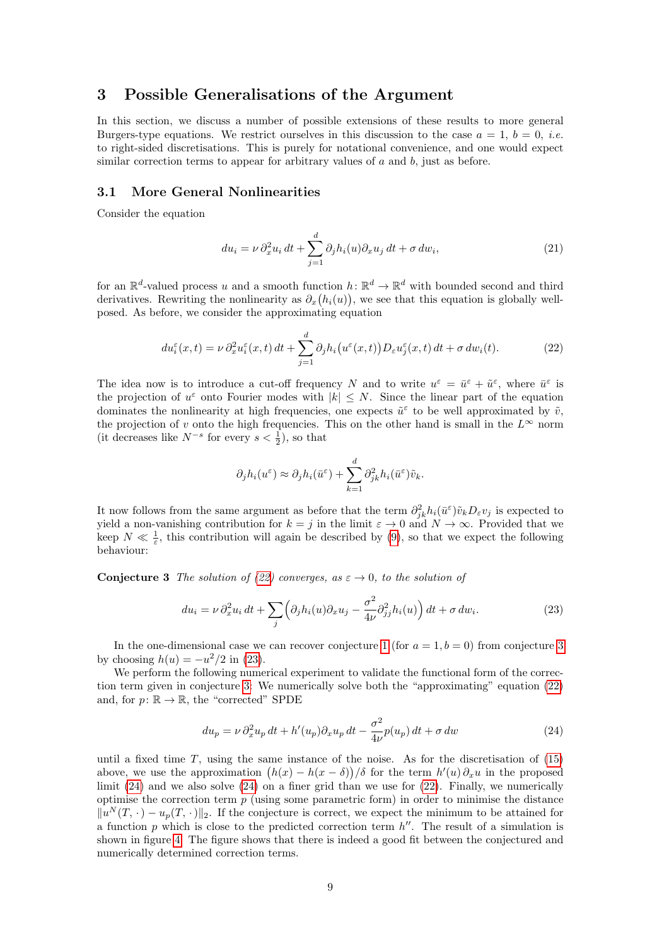# <span id="page-8-0"></span>3 Possible Generalisations of the Argument

In this section, we discuss a number of possible extensions of these results to more general Burgers-type equations. We restrict ourselves in this discussion to the case  $a = 1, b = 0, i.e.$ to right-sided discretisations. This is purely for notational convenience, and one would expect similar correction terms to appear for arbitrary values of  $a$  and  $b$ , just as before.

#### 3.1 More General Nonlinearities

Consider the equation

<span id="page-8-5"></span>
$$
du_i = \nu \partial_x^2 u_i dt + \sum_{j=1}^d \partial_j h_i(u) \partial_x u_j dt + \sigma dw_i,
$$
\n(21)

for an  $\mathbb{R}^d$ -valued process u and a smooth function  $h: \mathbb{R}^d \to \mathbb{R}^d$  with bounded second and third derivatives. Rewriting the nonlinearity as  $\partial_x(h_i(u))$ , we see that this equation is globally wellposed. As before, we consider the approximating equation

$$
du_i^{\varepsilon}(x,t) = \nu \partial_x^2 u_i^{\varepsilon}(x,t) dt + \sum_{j=1}^d \partial_j h_i(u^{\varepsilon}(x,t)) D_{\varepsilon} u_j^{\varepsilon}(x,t) dt + \sigma \, dw_i(t). \tag{22}
$$

The idea now is to introduce a cut-off frequency N and to write  $u^{\varepsilon} = \bar{u}^{\varepsilon} + \tilde{u}^{\varepsilon}$ , where  $\bar{u}^{\varepsilon}$  is the projection of  $u^{\varepsilon}$  onto Fourier modes with  $|k| \leq N$ . Since the linear part of the equation dominates the nonlinearity at high frequencies, one expects  $\tilde{u}^{\varepsilon}$  to be well approximated by  $\tilde{v}$ , the projection of v onto the high frequencies. This on the other hand is small in the  $L^{\infty}$  norm (it decreases like  $N^{-s}$  for every  $s < \frac{1}{2}$ ), so that

<span id="page-8-3"></span><span id="page-8-1"></span>
$$
\partial_j h_i(u^{\varepsilon}) \approx \partial_j h_i(\bar{u}^{\varepsilon}) + \sum_{k=1}^d \partial_{jk}^2 h_i(\bar{u}^{\varepsilon}) \tilde{v}_k.
$$

It now follows from the same argument as before that the term  $\partial^2_{jk}h_i(\bar{u}^{\varepsilon})\tilde{v}_kD_{\varepsilon}v_j$  is expected to yield a non-vanishing contribution for  $k = j$  in the limit  $\varepsilon \to 0$  and  $N \to \infty$ . Provided that we keep  $N \ll \frac{1}{\varepsilon}$ , this contribution will again be described by [\(9\)](#page-3-4), so that we expect the following behaviour:

<span id="page-8-2"></span>**Conjecture 3** The solution of [\(22\)](#page-8-1) converges, as  $\varepsilon \to 0$ , to the solution of

$$
du_i = \nu \partial_x^2 u_i dt + \sum_j \left( \partial_j h_i(u) \partial_x u_j - \frac{\sigma^2}{4\nu} \partial_{jj}^2 h_i(u) \right) dt + \sigma \, dw_i. \tag{23}
$$

In the one-dimensional case we can recover conjecture [1](#page-3-0) (for  $a = 1, b = 0$ ) from conjecture [3](#page-8-2) by choosing  $h(u) = -u^2/2$  in [\(23\)](#page-8-3).

We perform the following numerical experiment to validate the functional form of the correction term given in conjecture [3:](#page-8-2) We numerically solve both the "approximating" equation [\(22\)](#page-8-1) and, for  $p: \mathbb{R} \to \mathbb{R}$ , the "corrected" SPDE

<span id="page-8-4"></span>
$$
du_p = \nu \partial_x^2 u_p dt + h'(u_p) \partial_x u_p dt - \frac{\sigma^2}{4\nu} p(u_p) dt + \sigma dw \qquad (24)
$$

until a fixed time  $T$ , using the same instance of the noise. As for the discretisation of  $(15)$ above, we use the approximation  $(h(x) - h(x - \delta))/\delta$  for the term  $h'(u)\partial_x u$  in the proposed limit  $(24)$  and we also solve  $(24)$  on a finer grid than we use for  $(22)$ . Finally, we numerically optimise the correction term  $p$  (using some parametric form) in order to minimise the distance  $||u^N(T, \cdot) - u_p(T, \cdot)||_2$ . If the conjecture is correct, we expect the minimum to be attained for a function p which is close to the predicted correction term  $h''$ . The result of a simulation is shown in figure [4.](#page-9-0) The figure shows that there is indeed a good fit between the conjectured and numerically determined correction terms.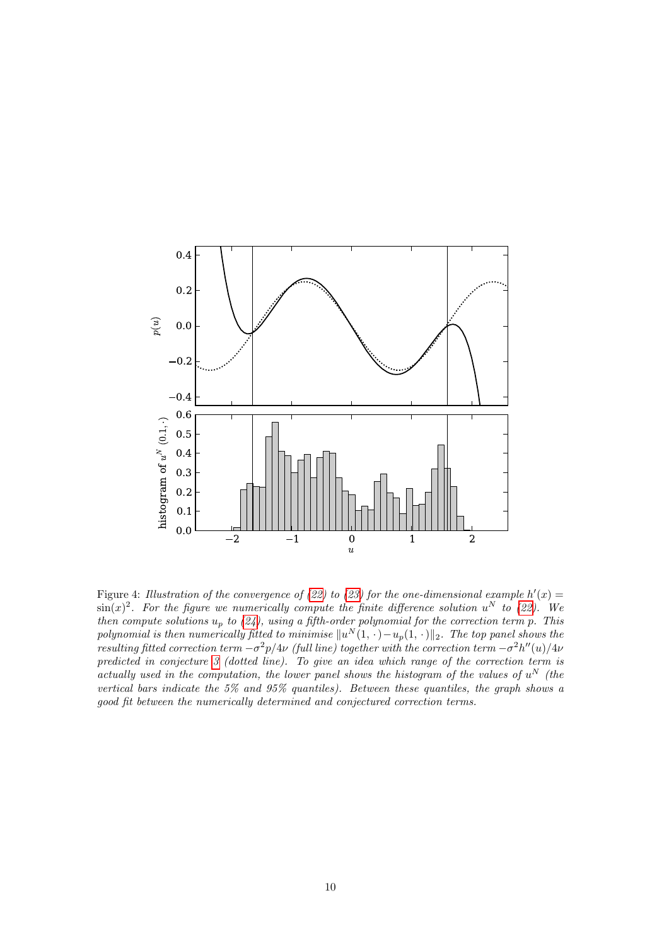

<span id="page-9-0"></span>Figure 4: Illustration of the convergence of [\(22\)](#page-8-1) to [\(23\)](#page-8-3) for the one-dimensional example  $h'(x) =$  $\sin(x)^2$ . For the figure we numerically compute the finite difference solution  $u^N$  to [\(22\)](#page-8-1). We then compute solutions  $u_p$  to [\(24\)](#page-8-4), using a fifth-order polynomial for the correction term p. This polynomial is then numerically fitted to minimise  $\|u^N(1,\cdot)-u_p(1,\cdot)\|_2$ . The top panel shows the resulting fitted correction term  $-\sigma^2 p/4\nu$  (full line) together with the correction term  $-\sigma^2 h''(u)/4\nu$ predicted in conjecture [3](#page-8-2) (dotted line). To give an idea which range of the correction term is actually used in the computation, the lower panel shows the histogram of the values of  $u^N$  (the vertical bars indicate the 5% and 95% quantiles). Between these quantiles, the graph shows a good fit between the numerically determined and conjectured correction terms.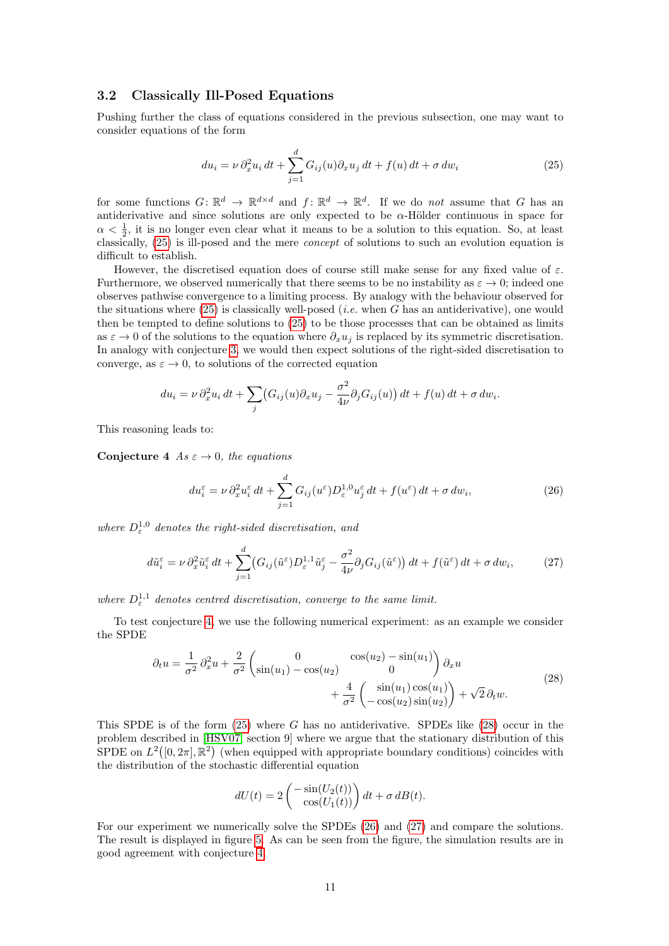### 3.2 Classically Ill-Posed Equations

Pushing further the class of equations considered in the previous subsection, one may want to consider equations of the form

<span id="page-10-0"></span>
$$
du_i = \nu \partial_x^2 u_i dt + \sum_{j=1}^d G_{ij}(u) \partial_x u_j dt + f(u) dt + \sigma dw_i
$$
\n(25)

for some functions  $G: \mathbb{R}^d \to \mathbb{R}^{d \times d}$  and  $f: \mathbb{R}^d \to \mathbb{R}^d$ . If we do not assume that G has an antiderivative and since solutions are only expected to be  $\alpha$ -Hölder continuous in space for  $\alpha < \frac{1}{2}$ , it is no longer even clear what it means to be a solution to this equation. So, at least classically, [\(25\)](#page-10-0) is ill-posed and the mere concept of solutions to such an evolution equation is difficult to establish.

However, the discretised equation does of course still make sense for any fixed value of  $\varepsilon$ . Furthermore, we observed numerically that there seems to be no instability as  $\varepsilon \to 0$ ; indeed one observes pathwise convergence to a limiting process. By analogy with the behaviour observed for the situations where  $(25)$  is classically well-posed (*i.e.* when G has an antiderivative), one would then be tempted to define solutions to [\(25\)](#page-10-0) to be those processes that can be obtained as limits as  $\varepsilon \to 0$  of the solutions to the equation where  $\partial_x u_j$  is replaced by its symmetric discretisation. In analogy with conjecture [3,](#page-8-2) we would then expect solutions of the right-sided discretisation to converge, as  $\varepsilon \to 0$ , to solutions of the corrected equation

$$
du_i = \nu \partial_x^2 u_i dt + \sum_j (G_{ij}(u)\partial_x u_j - \frac{\sigma^2}{4\nu} \partial_j G_{ij}(u)) dt + f(u) dt + \sigma dw_i.
$$

<span id="page-10-1"></span>This reasoning leads to:

Conjecture 4 As  $\varepsilon \to 0$ , the equations

<span id="page-10-4"></span><span id="page-10-3"></span>
$$
du_i^{\varepsilon} = \nu \, \partial_x^2 u_i^{\varepsilon} \, dt + \sum_{j=1}^d G_{ij}(u^{\varepsilon}) D_{\varepsilon}^{1,0} u_j^{\varepsilon} \, dt + f(u^{\varepsilon}) \, dt + \sigma \, dw_i,\tag{26}
$$

where  $D^{1,0}_{\varepsilon}$  denotes the right-sided discretisation, and

$$
d\tilde{u}_{i}^{\varepsilon} = \nu \, \partial_{x}^{2} \tilde{u}_{i}^{\varepsilon} dt + \sum_{j=1}^{d} \left( G_{ij}(\tilde{u}^{\varepsilon}) D_{\varepsilon}^{1,1} \tilde{u}_{j}^{\varepsilon} - \frac{\sigma^{2}}{4\nu} \partial_{j} G_{ij}(\tilde{u}^{\varepsilon}) \right) dt + f(\tilde{u}^{\varepsilon}) dt + \sigma \, dw_{i}, \tag{27}
$$

where  $D_{\varepsilon}^{1,1}$  denotes centred discretisation, converge to the same limit.

To test conjecture [4,](#page-10-1) we use the following numerical experiment: as an example we consider the SPDE

$$
\partial_t u = \frac{1}{\sigma^2} \partial_x^2 u + \frac{2}{\sigma^2} \begin{pmatrix} 0 & \cos(u_2) - \sin(u_1) \\ \sin(u_1) - \cos(u_2) & 0 \end{pmatrix} \partial_x u + \frac{4}{\sigma^2} \begin{pmatrix} \sin(u_1) \cos(u_1) \\ -\cos(u_2) \sin(u_2) \end{pmatrix} + \sqrt{2} \partial_t w.
$$
\n(28)

<span id="page-10-2"></span>This SPDE is of the form  $(25)$  where G has no antiderivative. SPDEs like  $(28)$  occur in the problem described in [\[HSV07,](#page-17-15) section 9] where we argue that the stationary distribution of this SPDE on  $L^2([0, 2\pi], \mathbb{R}^2)$  (when equipped with appropriate boundary conditions) coincides with the distribution of the stochastic differential equation

$$
dU(t) = 2\left(\frac{-\sin(U_2(t))}{\cos(U_1(t))}\right)dt + \sigma dB(t).
$$

For our experiment we numerically solve the SPDEs [\(26\)](#page-10-3) and [\(27\)](#page-10-4) and compare the solutions. The result is displayed in figure [5.](#page-11-0) As can be seen from the figure, the simulation results are in good agreement with conjecture [4.](#page-10-1)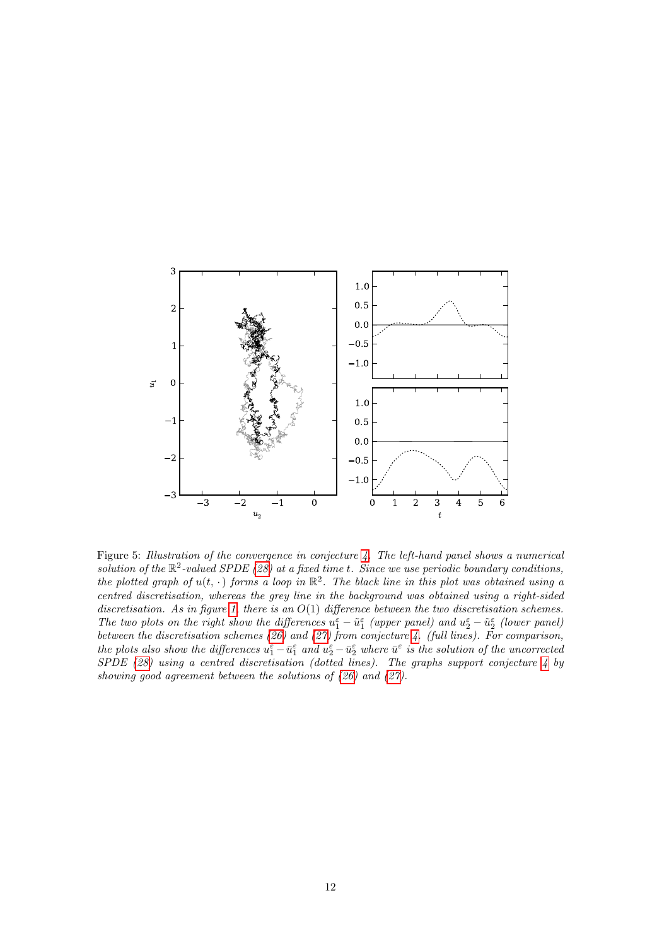

<span id="page-11-0"></span>Figure 5: Illustration of the convergence in conjecture [4.](#page-10-1) The left-hand panel shows a numerical solution of the  $\mathbb{R}^2$ -valued SPDE [\(28\)](#page-10-2) at a fixed time t. Since we use periodic boundary conditions, the plotted graph of  $u(t, \cdot)$  forms a loop in  $\mathbb{R}^2$ . The black line in this plot was obtained using a centred discretisation, whereas the grey line in the background was obtained using a right-sided discretisation. As in figure [1,](#page-2-0) there is an  $O(1)$  difference between the two discretisation schemes. The two plots on the right show the differences  $u_1^{\varepsilon} - \tilde{u}_1^{\varepsilon}$  (upper panel) and  $u_2^{\varepsilon} - \tilde{u}_2^{\varepsilon}$  (lower panel) between the discretisation schemes [\(26\)](#page-10-3) and [\(27\)](#page-10-4) from conjecture [4.](#page-10-1) (full lines). For comparison, the plots also show the differences  $u_1^{\varepsilon} - \bar{u}_1^{\varepsilon}$  and  $u_2^{\varepsilon} - \bar{u}_2^{\varepsilon}$  where  $\bar{u}^{\varepsilon}$  is the solution of the uncorrected  $S PDE$  [\(28\)](#page-10-2) using a centred discretisation (dotted lines). The graphs support conjecture [4](#page-10-1) by showing good agreement between the solutions of  $(26)$  and  $(27)$ .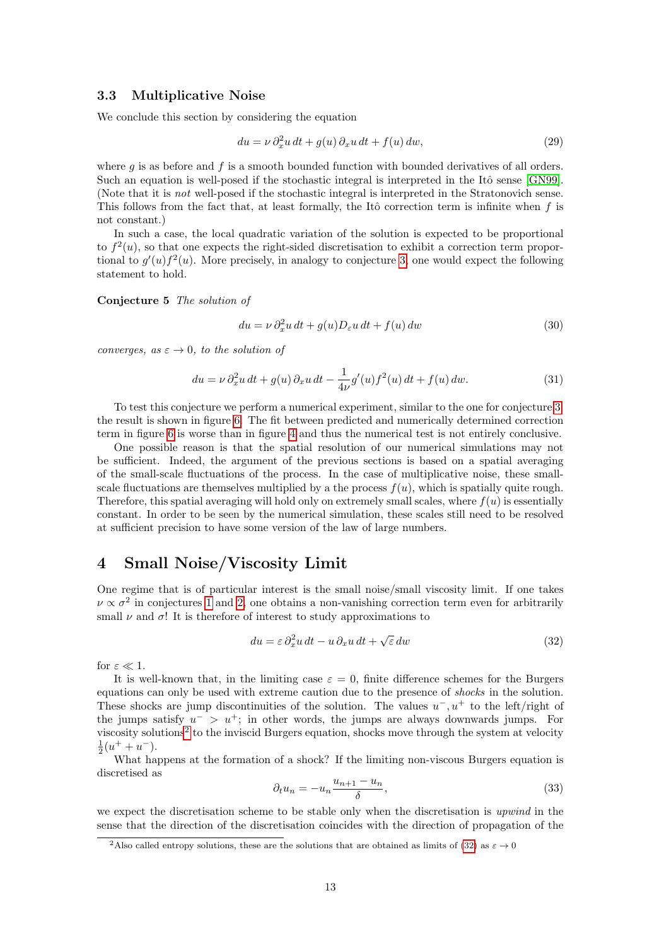### 3.3 Multiplicative Noise

We conclude this section by considering the equation

<span id="page-12-7"></span>
$$
du = \nu \partial_x^2 u \, dt + g(u) \, \partial_x u \, dt + f(u) \, dw,\tag{29}
$$

where  $g$  is as before and  $f$  is a smooth bounded function with bounded derivatives of all orders. Such an equation is well-posed if the stochastic integral is interpreted in the Itô sense [\[GN99\]](#page-17-16). (Note that it is not well-posed if the stochastic integral is interpreted in the Stratonovich sense. This follows from the fact that, at least formally, the Itô correction term is infinite when  $f$  is not constant.)

In such a case, the local quadratic variation of the solution is expected to be proportional to  $f^2(u)$ , so that one expects the right-sided discretisation to exhibit a correction term proportional to  $g'(u) f^2(u)$ . More precisely, in analogy to conjecture [3,](#page-8-2) one would expect the following statement to hold.

<span id="page-12-5"></span>Conjecture 5 The solution of

<span id="page-12-4"></span><span id="page-12-3"></span>
$$
du = \nu \partial_x^2 u \, dt + g(u) D_{\varepsilon} u \, dt + f(u) \, dw \tag{30}
$$

converges, as  $\varepsilon \to 0$ , to the solution of

$$
du = \nu \partial_x^2 u \, dt + g(u) \, \partial_x u \, dt - \frac{1}{4\nu} g'(u) f^2(u) \, dt + f(u) \, dw. \tag{31}
$$

To test this conjecture we perform a numerical experiment, similar to the one for conjecture [3;](#page-8-2) the result is shown in figure [6.](#page-13-0) The fit between predicted and numerically determined correction term in figure [6](#page-13-0) is worse than in figure [4](#page-9-0) and thus the numerical test is not entirely conclusive.

One possible reason is that the spatial resolution of our numerical simulations may not be sufficient. Indeed, the argument of the previous sections is based on a spatial averaging of the small-scale fluctuations of the process. In the case of multiplicative noise, these smallscale fluctuations are themselves multiplied by a the process  $f(u)$ , which is spatially quite rough. Therefore, this spatial averaging will hold only on extremely small scales, where  $f(u)$  is essentially constant. In order to be seen by the numerical simulation, these scales still need to be resolved at sufficient precision to have some version of the law of large numbers.

# <span id="page-12-0"></span>4 Small Noise/Viscosity Limit

One regime that is of particular interest is the small noise/small viscosity limit. If one takes  $\nu \propto \sigma^2$  in conjectures [1](#page-3-0) and [2,](#page-4-2) one obtains a non-vanishing correction term even for arbitrarily small  $\nu$  and  $\sigma$ ! It is therefore of interest to study approximations to

<span id="page-12-2"></span>
$$
du = \varepsilon \, \partial_x^2 u \, dt - u \, \partial_x u \, dt + \sqrt{\varepsilon} \, dw \tag{32}
$$

for  $\varepsilon \ll 1$ .

It is well-known that, in the limiting case  $\varepsilon = 0$ , finite difference schemes for the Burgers equations can only be used with extreme caution due to the presence of shocks in the solution. These shocks are jump discontinuities of the solution. The values  $u^-, u^+$  to the left/right of the jumps satisfy  $u^{-} > u^{+}$ ; in other words, the jumps are always downwards jumps. For viscosity solutions<sup>[2](#page-12-1)</sup> to the inviscid Burgers equation, shocks move through the system at velocity  $\frac{1}{2}(u^{+}+u^{-}).$ 

What happens at the formation of a shock? If the limiting non-viscous Burgers equation is discretised as

<span id="page-12-6"></span>
$$
\partial_t u_n = -u_n \frac{u_{n+1} - u_n}{\delta},\tag{33}
$$

we expect the discretisation scheme to be stable only when the discretisation is upwind in the sense that the direction of the discretisation coincides with the direction of propagation of the

<span id="page-12-1"></span><sup>&</sup>lt;sup>2</sup>Also called entropy solutions, these are the solutions that are obtained as limits of [\(32\)](#page-12-2) as  $\varepsilon \to 0$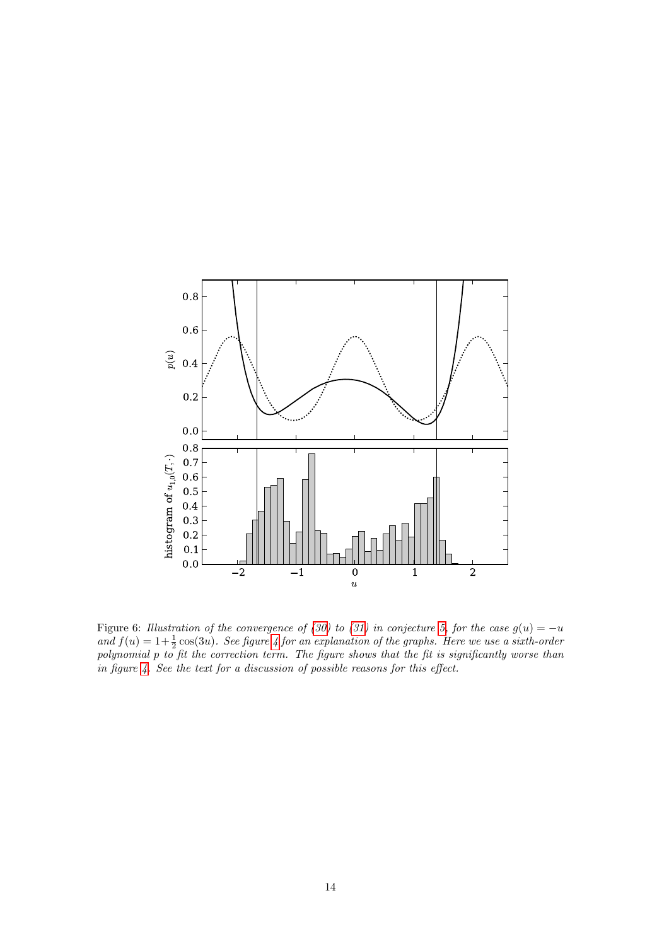

<span id="page-13-0"></span>Figure 6: Illustration of the convergence of [\(30\)](#page-12-3) to [\(31\)](#page-12-4) in conjecture [5,](#page-12-5) for the case  $g(u) = -u$ and  $f(u) = 1 + \frac{1}{2}\cos(3u)$ . See figure [4](#page-9-0) for an explanation of the graphs. Here we use a sixth-order polynomial p to fit the correction term. The figure shows that the fit is significantly worse than in figure [4.](#page-9-0) See the text for a discussion of possible reasons for this effect.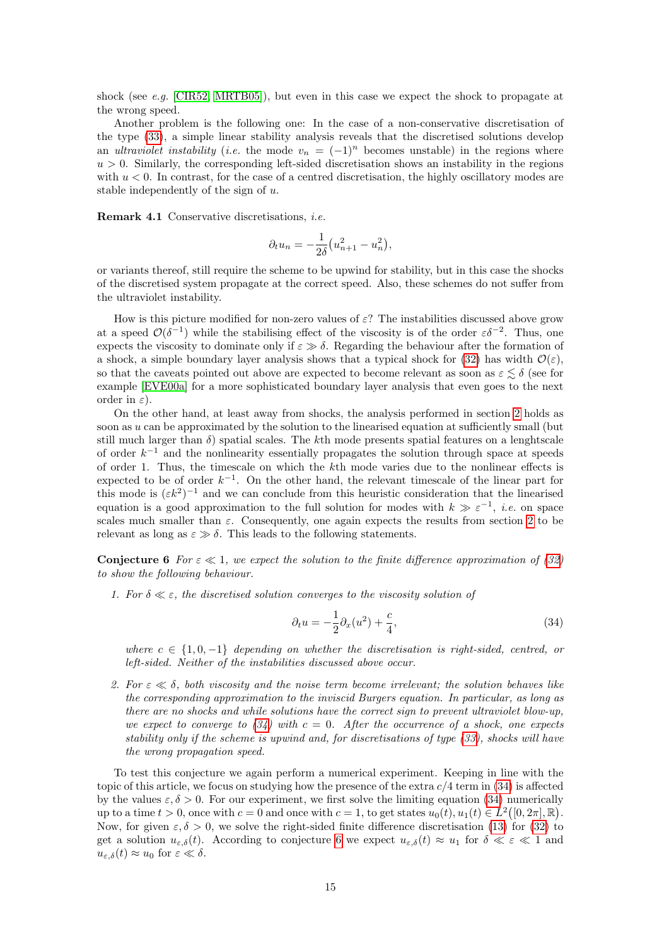shock (see e.g. [\[CIR52,](#page-17-17) [MRTB05\]](#page-18-5)), but even in this case we expect the shock to propagate at the wrong speed.

Another problem is the following one: In the case of a non-conservative discretisation of the type [\(33\)](#page-12-6), a simple linear stability analysis reveals that the discretised solutions develop an ultraviolet instability (i.e. the mode  $v_n = (-1)^n$  becomes unstable) in the regions where  $u > 0$ . Similarly, the corresponding left-sided discretisation shows an instability in the regions with  $u < 0$ . In contrast, for the case of a centred discretisation, the highly oscillatory modes are stable independently of the sign of u.

Remark 4.1 Conservative discretisations, i.e.

$$
\partial_t u_n = -\frac{1}{2\delta} \left( u_{n+1}^2 - u_n^2 \right),
$$

or variants thereof, still require the scheme to be upwind for stability, but in this case the shocks of the discretised system propagate at the correct speed. Also, these schemes do not suffer from the ultraviolet instability.

How is this picture modified for non-zero values of  $\varepsilon$ ? The instabilities discussed above grow at a speed  $\mathcal{O}(\delta^{-1})$  while the stabilising effect of the viscosity is of the order  $\varepsilon \delta^{-2}$ . Thus, one expects the viscosity to dominate only if  $\varepsilon \gg \delta$ . Regarding the behaviour after the formation of a shock, a simple boundary layer analysis shows that a typical shock for [\(32\)](#page-12-2) has width  $\mathcal{O}(\varepsilon)$ , so that the caveats pointed out above are expected to become relevant as soon as  $\varepsilon \lesssim \delta$  (see for example [\[EVE00a\]](#page-17-7) for a more sophisticated boundary layer analysis that even goes to the next order in  $\varepsilon$ ).

On the other hand, at least away from shocks, the analysis performed in section [2](#page-1-1) holds as soon as u can be approximated by the solution to the linearised equation at sufficiently small (but still much larger than  $\delta$ ) spatial scales. The kth mode presents spatial features on a lenghtscale of order  $k^{-1}$  and the nonlinearity essentially propagates the solution through space at speeds of order 1. Thus, the timescale on which the kth mode varies due to the nonlinear effects is expected to be of order  $k^{-1}$ . On the other hand, the relevant timescale of the linear part for this mode is  $(\varepsilon k^2)^{-1}$  and we can conclude from this heuristic consideration that the linearised equation is a good approximation to the full solution for modes with  $k \gg \varepsilon^{-1}$ , *i.e.* on space scales much smaller than  $\varepsilon$ . Consequently, one again expects the results from section [2](#page-1-1) to be relevant as long as  $\varepsilon \gg \delta$ . This leads to the following statements.

<span id="page-14-1"></span>**Conjecture 6** For  $\epsilon \ll 1$ , we expect the solution to the finite difference approximation of [\(32\)](#page-12-2) to show the following behaviour.

1. For  $\delta \ll \varepsilon$ , the discretised solution converges to the viscosity solution of

<span id="page-14-0"></span>
$$
\partial_t u = -\frac{1}{2}\partial_x(u^2) + \frac{c}{4},\tag{34}
$$

where  $c \in \{1, 0, -1\}$  depending on whether the discretisation is right-sided, centred, or left-sided. Neither of the instabilities discussed above occur.

2. For  $\varepsilon \ll \delta$ , both viscosity and the noise term become irrelevant; the solution behaves like the corresponding approximation to the inviscid Burgers equation. In particular, as long as there are no shocks and while solutions have the correct sign to prevent ultraviolet blow-up, we expect to converge to  $(34)$  with  $c = 0$ . After the occurrence of a shock, one expects stability only if the scheme is upwind and, for discretisations of type [\(33\)](#page-12-6), shocks will have the wrong propagation speed.

To test this conjecture we again perform a numerical experiment. Keeping in line with the topic of this article, we focus on studying how the presence of the extra  $c/4$  term in [\(34\)](#page-14-0) is affected by the values  $\varepsilon, \delta > 0$ . For our experiment, we first solve the limiting equation [\(34\)](#page-14-0) numerically up to a time  $t > 0$ , once with  $c = 0$  and once with  $c = 1$ , to get states  $u_0(t), u_1(t) \in L^2([0, 2\pi], \mathbb{R})$ . Now, for given  $\varepsilon$ ,  $\delta > 0$ , we solve the right-sided finite difference discretisation [\(13\)](#page-4-0) for [\(32\)](#page-12-2) to get a solution  $u_{\varepsilon,\delta}(t)$ . According to conjecture [6](#page-14-1) we expect  $u_{\varepsilon,\delta}(t) \approx u_1$  for  $\delta \ll \varepsilon \ll 1$  and  $u_{\varepsilon,\delta}(t) \approx u_0$  for  $\varepsilon \ll \delta$ .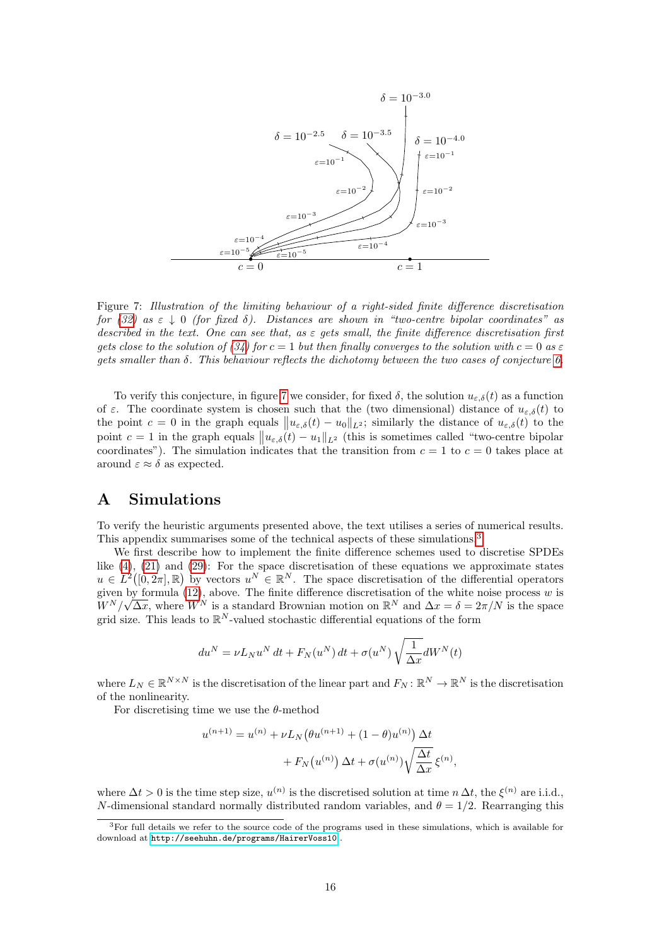

<span id="page-15-1"></span>Figure 7: Illustration of the limiting behaviour of a right-sided finite difference discretisation for [\(32\)](#page-12-2) as  $\varepsilon \downarrow 0$  (for fixed  $\delta$ ). Distances are shown in "two-centre bipolar coordinates" as described in the text. One can see that, as  $\varepsilon$  gets small, the finite difference discretisation first gets close to the solution of [\(34\)](#page-14-0) for  $c = 1$  but then finally converges to the solution with  $c = 0$  as  $\varepsilon$ gets smaller than  $\delta$ . This behaviour reflects the dichotomy between the two cases of conjecture [6.](#page-14-1)

To verify this conjecture, in figure [7](#page-15-1) we consider, for fixed  $\delta$ , the solution  $u_{\varepsilon,\delta}(t)$  as a function of  $\varepsilon$ . The coordinate system is chosen such that the (two dimensional) distance of  $u_{\varepsilon,\delta}(t)$  to the point  $c = 0$  in the graph equals  $||u_{\varepsilon,\delta}(t) - u_0||_{L^2}$ ; similarly the distance of  $u_{\varepsilon,\delta}(t)$  to the point  $c = 1$  in the graph equals  $||u_{\varepsilon,\delta}(t) - u_1||_{L^2}$  (this is sometimes called "two-centre bipolar coordinates"). The simulation indicates that the transition from  $c = 1$  to  $c = 0$  takes place at around  $\varepsilon \approx \delta$  as expected.

# <span id="page-15-0"></span>A Simulations

To verify the heuristic arguments presented above, the text utilises a series of numerical results. This appendix summarises some of the technical aspects of these simulations.[3](#page-15-2)

We first describe how to implement the finite difference schemes used to discretise SPDEs like [\(4\)](#page-1-2), [\(21\)](#page-8-5) and [\(29\)](#page-12-7): For the space discretisation of these equations we approximate states  $u \in L^2([0, 2\pi], \mathbb{R})$  by vectors  $u^N \in \mathbb{R}^N$ . The space discretisation of the differential operators given by formula [\(12\)](#page-3-2), above. The finite difference discretisation of the white noise process w is  $W^N/\sqrt{\Delta x}$ , where  $W^N$  is a standard Brownian motion on  $\mathbb{R}^N$  and  $\Delta x = \delta = 2\pi/N$  is the space grid size. This leads to  $\mathbb{R}^N$ -valued stochastic differential equations of the form

$$
du^{N} = \nu L_{N} u^{N} dt + F_{N}(u^{N}) dt + \sigma(u^{N}) \sqrt{\frac{1}{\Delta x}} dW^{N}(t)
$$

where  $L_N \in \mathbb{R}^{N \times N}$  is the discretisation of the linear part and  $F_N: \mathbb{R}^N \to \mathbb{R}^N$  is the discretisation of the nonlinearity.

For discretising time we use the  $\theta$ -method

$$
u^{(n+1)} = u^{(n)} + \nu L_N(\theta u^{(n+1)} + (1 - \theta)u^{(n)}) \Delta t + F_N(u^{(n)}) \Delta t + \sigma(u^{(n)}) \sqrt{\frac{\Delta t}{\Delta x}} \xi^{(n)},
$$

where  $\Delta t > 0$  is the time step size,  $u^{(n)}$  is the discretised solution at time  $n \Delta t$ , the  $\xi^{(n)}$  are i.i.d., N-dimensional standard normally distributed random variables, and  $\theta = 1/2$ . Rearranging this

<span id="page-15-2"></span><sup>3</sup>For full details we refer to the source code of the programs used in these simulations, which is available for download at <http://seehuhn.de/programs/HairerVoss10> .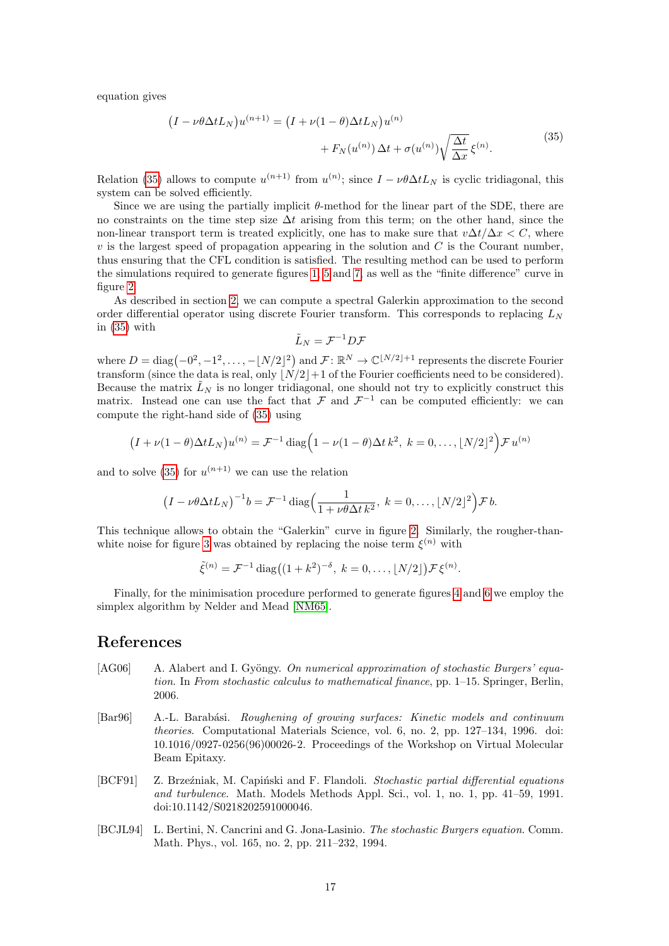equation gives

$$
(I - \nu \theta \Delta t L_N) u^{(n+1)} = (I + \nu (1 - \theta) \Delta t L_N) u^{(n)} + F_N(u^{(n)}) \Delta t + \sigma (u^{(n)}) \sqrt{\frac{\Delta t}{\Delta x}} \xi^{(n)}.
$$
\n(35)

Relation [\(35\)](#page-16-4) allows to compute  $u^{(n+1)}$  from  $u^{(n)}$ ; since  $I - \nu \theta \Delta t L_N$  is cyclic tridiagonal, this system can be solved efficiently.

Since we are using the partially implicit  $\theta$ -method for the linear part of the SDE, there are no constraints on the time step size  $\Delta t$  arising from this term; on the other hand, since the non-linear transport term is treated explicitly, one has to make sure that  $v\Delta t/\Delta x < C$ , where  $v$  is the largest speed of propagation appearing in the solution and  $C$  is the Courant number, thus ensuring that the CFL condition is satisfied. The resulting method can be used to perform the simulations required to generate figures [1,](#page-2-0) [5](#page-11-0) and [7,](#page-15-1) as well as the "finite difference" curve in figure [2.](#page-5-1)

As described in section [2,](#page-1-1) we can compute a spectral Galerkin approximation to the second order differential operator using discrete Fourier transform. This corresponds to replacing  $L<sub>N</sub>$ in [\(35\)](#page-16-4) with

<span id="page-16-4"></span>
$$
\tilde{L}_N = \mathcal{F}^{-1} D \mathcal{F}
$$

where  $D = \text{diag}(-0^2, -1^2, \dots, -\lfloor N/2 \rfloor^2)$  and  $\mathcal{F} \colon \mathbb{R}^N \to \mathbb{C}^{\lfloor N/2 \rfloor + 1}$  represents the discrete Fourier transform (since the data is real, only  $|\overrightarrow{N}/2|+1$  of the Fourier coefficients need to be considered). Because the matrix  $\tilde{L}_N$  is no longer tridiagonal, one should not try to explicitly construct this matrix. Instead one can use the fact that  $\mathcal F$  and  $\mathcal F^{-1}$  can be computed efficiently: we can compute the right-hand side of [\(35\)](#page-16-4) using

$$
(I + \nu(1-\theta)\Delta t L_N)u^{(n)} = \mathcal{F}^{-1}\operatorname{diag}\left(1 - \nu(1-\theta)\Delta t k^2, k = 0, \ldots, \lfloor N/2 \rfloor^2\right)\mathcal{F}u^{(n)}
$$

and to solve [\(35\)](#page-16-4) for  $u^{(n+1)}$  we can use the relation

$$
(I - \nu \theta \Delta t L_N)^{-1} b = \mathcal{F}^{-1} \operatorname{diag}\left(\frac{1}{1 + \nu \theta \Delta t k^2}, k = 0, \ldots, \lfloor N/2 \rfloor^2\right) \mathcal{F} b.
$$

This technique allows to obtain the "Galerkin" curve in figure [2.](#page-5-1) Similarly, the rougher-than-white noise for figure [3](#page-7-2) was obtained by replacing the noise term  $\xi^{(n)}$  with

$$
\tilde{\xi}^{(n)} = \mathcal{F}^{-1} \operatorname{diag}((1+k^2)^{-\delta}, k = 0, \dots, \lfloor N/2 \rfloor) \mathcal{F} \xi^{(n)}.
$$

Finally, for the minimisation procedure performed to generate figures [4](#page-9-0) and [6](#page-13-0) we employ the simplex algorithm by Nelder and Mead [\[NM65\]](#page-18-6).

### References

- <span id="page-16-3"></span>[AG06] A. Alabert and I. Gyöngy. On numerical approximation of stochastic Burgers' equation. In From stochastic calculus to mathematical finance, pp. 1–15. Springer, Berlin, 2006.
- <span id="page-16-0"></span>[Bar96] A.-L. Barabási. Roughening of growing surfaces: Kinetic models and continuum theories. Computational Materials Science, vol. 6, no. 2, pp. 127–134, 1996. doi: 10.1016/0927-0256(96)00026-2. Proceedings of the Workshop on Virtual Molecular Beam Epitaxy.
- <span id="page-16-2"></span>[BCF91] Z. Brzeźniak, M. Capiński and F. Flandoli. Stochastic partial differential equations and turbulence. Math. Models Methods Appl. Sci., vol. 1, no. 1, pp. 41–59, 1991. doi:10.1142/S0218202591000046.
- <span id="page-16-1"></span>[BCJL94] L. Bertini, N. Cancrini and G. Jona-Lasinio. The stochastic Burgers equation. Comm. Math. Phys., vol. 165, no. 2, pp. 211–232, 1994.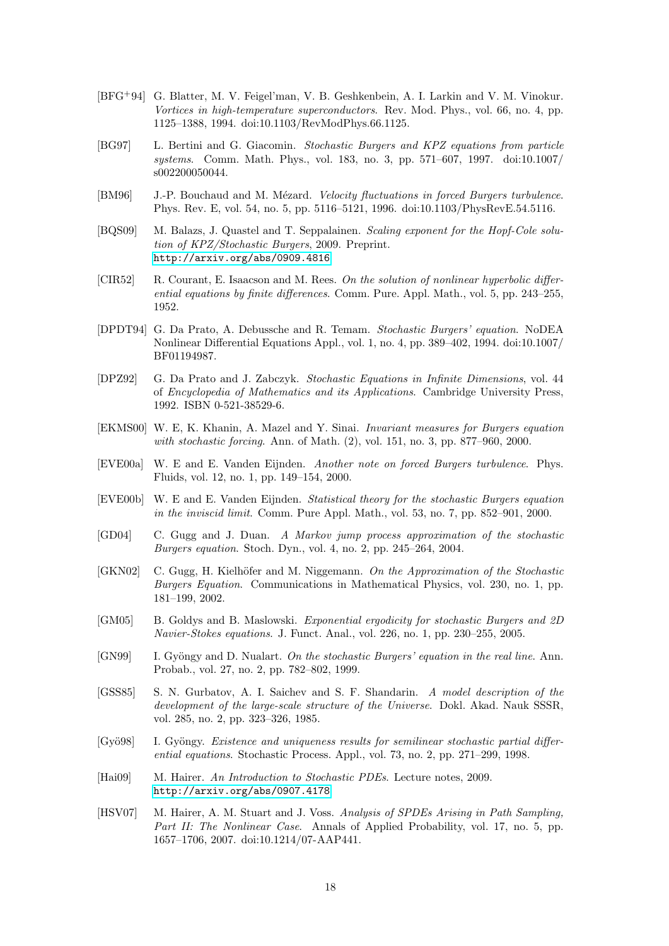- <span id="page-17-0"></span>[BFG+94] G. Blatter, M. V. Feigel'man, V. B. Geshkenbein, A. I. Larkin and V. M. Vinokur. Vortices in high-temperature superconductors. Rev. Mod. Phys., vol. 66, no. 4, pp. 1125–1388, 1994. doi:10.1103/RevModPhys.66.1125.
- <span id="page-17-11"></span>[BG97] L. Bertini and G. Giacomin. Stochastic Burgers and KPZ equations from particle systems. Comm. Math. Phys., vol. 183, no. 3, pp. 571–607, 1997. doi:10.1007/ s002200050044.
- <span id="page-17-6"></span>[BM96] J.-P. Bouchaud and M. Mézard. Velocity fluctuations in forced Burgers turbulence. Phys. Rev. E, vol. 54, no. 5, pp. 5116–5121, 1996. doi:10.1103/PhysRevE.54.5116.
- <span id="page-17-12"></span>[BQS09] M. Balazs, J. Quastel and T. Seppalainen. Scaling exponent for the Hopf-Cole solution of KPZ/Stochastic Burgers, 2009. Preprint. <http://arxiv.org/abs/0909.4816>
- <span id="page-17-17"></span>[CIR52] R. Courant, E. Isaacson and M. Rees. On the solution of nonlinear hyperbolic differential equations by finite differences. Comm. Pure. Appl. Math., vol. 5, pp. 243–255, 1952.
- <span id="page-17-2"></span>[DPDT94] G. Da Prato, A. Debussche and R. Temam. Stochastic Burgers' equation. NoDEA Nonlinear Differential Equations Appl., vol. 1, no. 4, pp. 389–402, 1994. doi:10.1007/ BF01194987.
- <span id="page-17-9"></span>[DPZ92] G. Da Prato and J. Zabczyk. Stochastic Equations in Infinite Dimensions, vol. 44 of Encyclopedia of Mathematics and its Applications. Cambridge University Press, 1992. ISBN 0-521-38529-6.
- <span id="page-17-5"></span>[EKMS00] W. E, K. Khanin, A. Mazel and Y. Sinai. Invariant measures for Burgers equation with stochastic forcing. Ann. of Math. (2), vol. 151, no. 3, pp. 877–960, 2000.
- <span id="page-17-7"></span>[EVE00a] W. E and E. Vanden Eijnden. Another note on forced Burgers turbulence. Phys. Fluids, vol. 12, no. 1, pp. 149–154, 2000.
- <span id="page-17-8"></span>[EVE00b] W. E and E. Vanden Eijnden. Statistical theory for the stochastic Burgers equation in the inviscid limit. Comm. Pure Appl. Math., vol. 53, no. 7, pp. 852–901, 2000.
- <span id="page-17-14"></span>[GD04] C. Gugg and J. Duan. A Markov jump process approximation of the stochastic Burgers equation. Stoch. Dyn., vol. 4, no. 2, pp. 245–264, 2004.
- <span id="page-17-13"></span>[GKN02] C. Gugg, H. Kielhöfer and M. Niggemann. On the Approximation of the Stochastic Burgers Equation. Communications in Mathematical Physics, vol. 230, no. 1, pp. 181–199, 2002.
- <span id="page-17-4"></span>[GM05] B. Goldys and B. Maslowski. Exponential ergodicity for stochastic Burgers and 2D Navier-Stokes equations. J. Funct. Anal., vol. 226, no. 1, pp. 230–255, 2005.
- <span id="page-17-16"></span>[GN99] I. Gyöngy and D. Nualart. On the stochastic Burgers' equation in the real line. Ann. Probab., vol. 27, no. 2, pp. 782–802, 1999.
- <span id="page-17-1"></span>[GSS85] S. N. Gurbatov, A. I. Saichev and S. F. Shandarin. A model description of the development of the large-scale structure of the Universe. Dokl. Akad. Nauk SSSR, vol. 285, no. 2, pp. 323–326, 1985.
- <span id="page-17-3"></span>[Gyö98] I. Gyöngy. Existence and uniqueness results for semilinear stochastic partial differential equations. Stochastic Process. Appl., vol. 73, no. 2, pp. 271–299, 1998.
- <span id="page-17-10"></span>[Hai09] M. Hairer. An Introduction to Stochastic PDEs. Lecture notes, 2009. <http://arxiv.org/abs/0907.4178>
- <span id="page-17-15"></span>[HSV07] M. Hairer, A. M. Stuart and J. Voss. Analysis of SPDEs Arising in Path Sampling, Part II: The Nonlinear Case. Annals of Applied Probability, vol. 17, no. 5, pp. 1657–1706, 2007. doi:10.1214/07-AAP441.